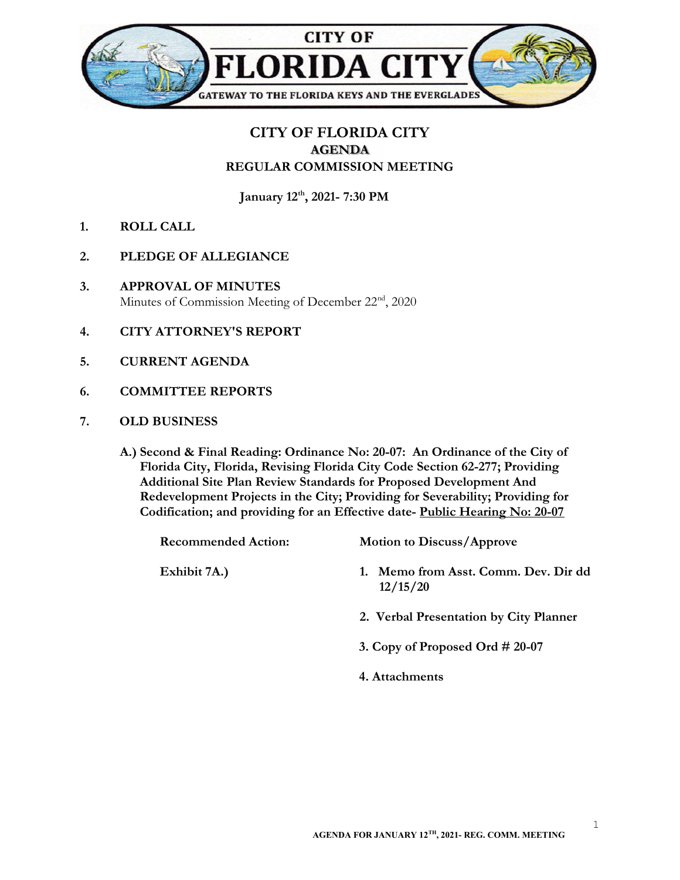

## CITY OF FLORIDA CITY AGENDA REGULAR COMMISSION MEETING

January 12<sup>th</sup>, 2021- 7:30 PM

- 1. ROLL CALL
- 2. PLEDGE OF ALLEGIANCE
- 3. APPROVAL OF MINUTES Minutes of Commission Meeting of December 22<sup>nd</sup>, 2020
- 4. CITY ATTORNEY'S REPORT
- 5. CURRENT AGENDA
- 6. COMMITTEE REPORTS
- 7. OLD BUSINESS
	- A.) Second & Final Reading: Ordinance No: 20-07: An Ordinance of the City of Florida City, Florida, Revising Florida City Code Section 62-277; Providing Additional Site Plan Review Standards for Proposed Development And Redevelopment Projects in the City; Providing for Severability; Providing for Codification; and providing for an Effective date- Public Hearing No: 20-07

| <b>Recommended Action:</b> | <b>Motion to Discuss/Approve</b>                 |
|----------------------------|--------------------------------------------------|
| Exhibit 7A.)               | 1. Memo from Asst. Comm. Dev. Dir dd<br>12/15/20 |
|                            | 2. Verbal Presentation by City Planner           |
|                            | 3. Copy of Proposed Ord $\#$ 20-07               |
|                            |                                                  |

4. Attachments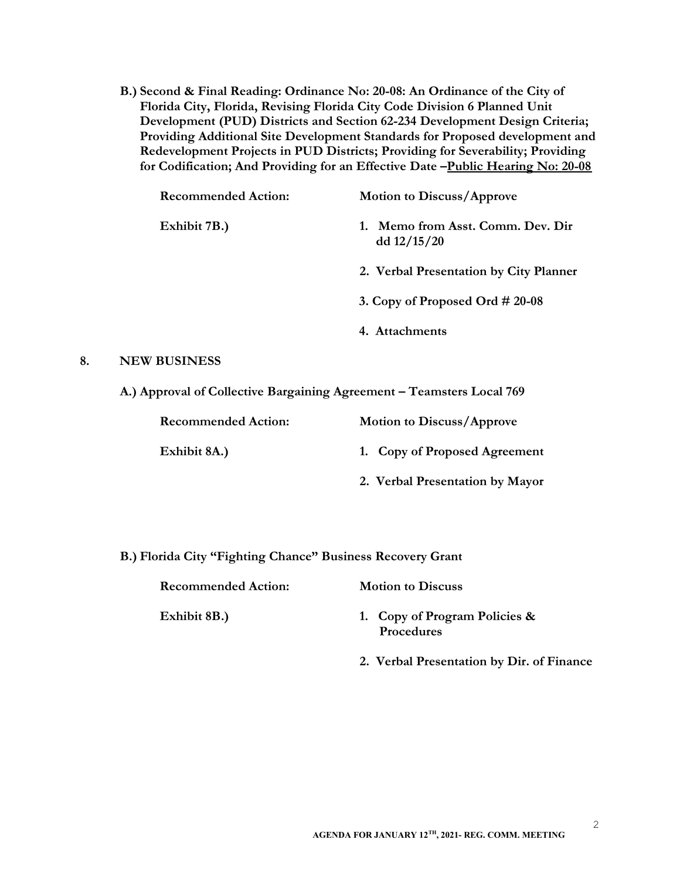B.) Second & Final Reading: Ordinance No: 20-08: An Ordinance of the City of Florida City, Florida, Revising Florida City Code Division 6 Planned Unit Development (PUD) Districts and Section 62-234 Development Design Criteria; Providing Additional Site Development Standards for Proposed development and Redevelopment Projects in PUD Districts; Providing for Severability; Providing for Codification; And Providing for an Effective Date -Public Hearing No: 20-08

| <b>Recommended Action:</b> | <b>Motion to Discuss/Approve</b>                |
|----------------------------|-------------------------------------------------|
| Exhibit 7B.)               | Memo from Asst. Comm. Dev. Dir<br>dd $12/15/20$ |
|                            | 2. Verbal Presentation by City Planner          |
|                            | 3. Copy of Proposed Ord $\#$ 20-08              |
|                            | 4. Attachments                                  |
|                            |                                                 |

## 8. NEW BUSINESS

A.) Approval of Collective Bargaining Agreement – Teamsters Local 769

| <b>Recommended Action:</b> | <b>Motion to Discuss/Approve</b> |
|----------------------------|----------------------------------|
| Exhibit 8A.)               | 1. Copy of Proposed Agreement    |
|                            | 2. Verbal Presentation by Mayor  |

B.) Florida City "Fighting Chance" Business Recovery Grant

Recommended Action: Motion to Discuss

- Exhibit 8B.) 1. Copy of Program Policies & Procedures
	- 2. Verbal Presentation by Dir. of Finance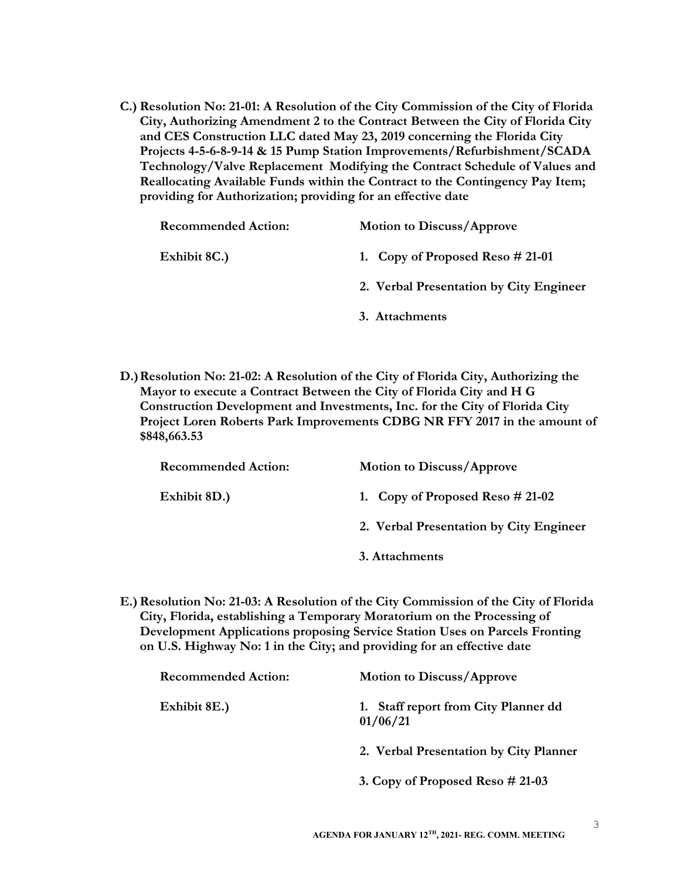C.) Resolution No: 21-01: A Resolution of the City Commission of the City of Florida City, Authorizing Amendment 2 to the Contract Between the City of Florida City and CES Construction LLC dated May 23, 2019 concerning the Florida City Projects 4-5-6-8-9-14 & 15 Pump Station Improvements/Refurbishment/SCADA Technology/Valve Replacement Modifying the Contract Schedule of Values and Reallocating Available Funds within the Contract to the Contingency Pay Item; providing for Authorization; providing for an effective date

| <b>Recommended Action:</b> | <b>Motion to Discuss/Approve</b>        |
|----------------------------|-----------------------------------------|
| Exhibit 8C.)               | 1. Copy of Proposed Reso $#21-01$       |
|                            | 2. Verbal Presentation by City Engineer |
|                            | 3. Attachments                          |

D.) Resolution No: 21-02: A Resolution of the City of Florida City, Authorizing the Mayor to execute a Contract Between the City of Florida City and H G Construction Development and Investments, Inc. for the City of Florida City Project Loren Roberts Park Improvements CDBG NR FFY 2017 in the amount of \$848,663.53

| <b>Recommended Action:</b> | <b>Motion to Discuss/Approve</b>        |
|----------------------------|-----------------------------------------|
| Exhibit 8D.)               | 1. Copy of Proposed Reso $\# 21-02$     |
|                            | 2. Verbal Presentation by City Engineer |
|                            | 3. Attachments                          |

E.) Resolution No: 21-03: A Resolution of the City Commission of the City of Florida City, Florida, establishing a Temporary Moratorium on the Processing of Development Applications proposing Service Station Uses on Parcels Fronting on U.S. Highway No: 1 in the City; and providing for an effective date

| <b>Recommended Action:</b> | <b>Motion to Discuss/Approve</b>                 |
|----------------------------|--------------------------------------------------|
| Exhibit 8E.)               | 1. Staff report from City Planner dd<br>01/06/21 |
|                            | 2. Verbal Presentation by City Planner           |
|                            | 3. Copy of Proposed Reso $#21-03$                |